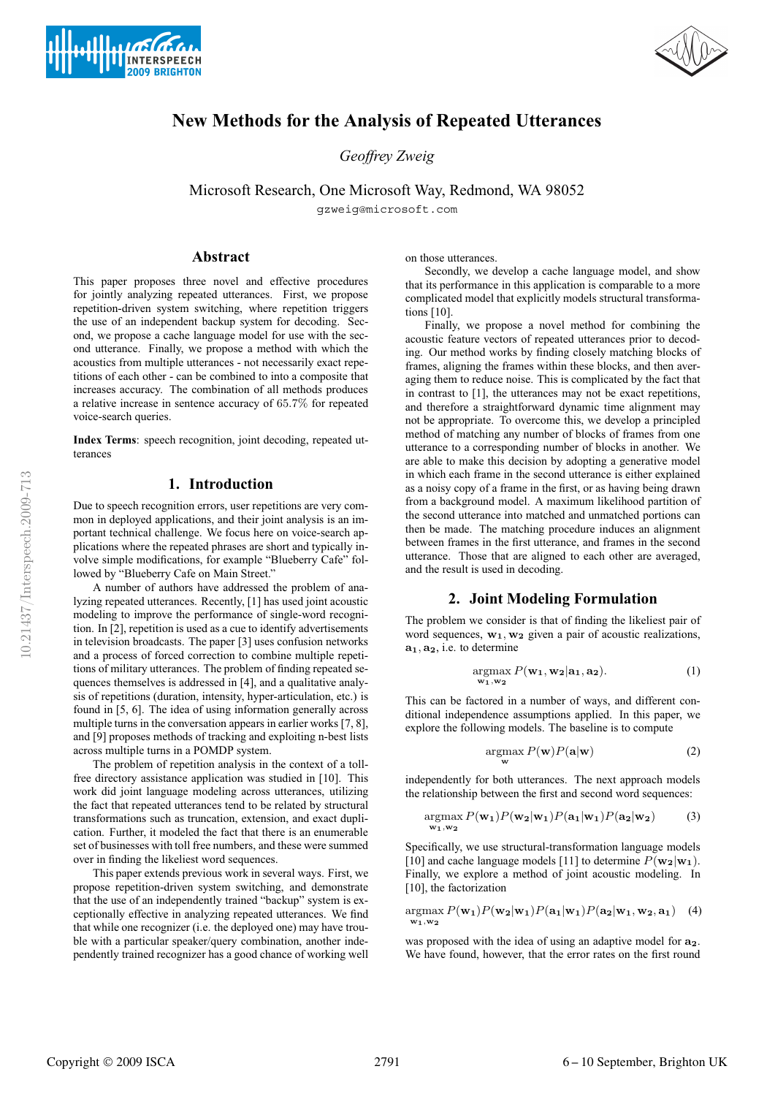



# Copyright © 2009 ISCA <sup>2791</sup> 6-10 September, Brighton UK

*Geoffrey Zweig*

Microsoft Research, One Microsoft Way, Redmond, WA 98052  $\mathcal{L}$ 

**New Methods for the Analysis of Repeated Utterances**

### **Abstract**

 $\sqrt{5}$ 

**INTERSPEECH 2009 BRIGHTON** 

This paper proposes three novel and effective procedures for jointly analyzing repeated utterances. First, we propose repetition-driven system switching, where repetition triggers the use of an independent backup system for decoding. Second, we propose a cache language model for use with the second utterance. Finally, we propose a method with which the acoustics from multiple utterances - not necessarily exact repetitions of each other - can be combined to into a composite that increases accuracy. The combination of all methods produces a relative increase in sentence accuracy of 65.7% for repeated voice-search queries.

**Index Terms**: speech recognition, joint decoding, repeated utterances

## **1. Introduction**

Due to speech recognition errors, user repetitions are very common in deployed applications, and their joint analysis is an important technical challenge. We focus here on voice-search applications where the repeated phrases are short and typically involve simple modifications, for example "Blueberry Cafe" followed by "Blueberry Cafe on Main Street."

A number of authors have addressed the problem of analyzing repeated utterances. Recently, [1] has used joint acoustic modeling to improve the performance of single-word recognition. In [2], repetition is used as a cue to identify advertisements in television broadcasts. The paper [3] uses confusion networks and a process of forced correction to combine multiple repetitions of military utterances. The problem of finding repeated sequences themselves is addressed in [4], and a qualitative analysis of repetitions (duration, intensity, hyper-articulation, etc.) is found in [5, 6]. The idea of using information generally across multiple turns in the conversation appears in earlier works [7, 8], and [9] proposes methods of tracking and exploiting n-best lists across multiple turns in a POMDP system.

The problem of repetition analysis in the context of a tollfree directory assistance application was studied in [10]. This work did joint language modeling across utterances, utilizing the fact that repeated utterances tend to be related by structural transformations such as truncation, extension, and exact duplication. Further, it modeled the fact that there is an enumerable set of businesses with toll free numbers, and these were summed over in finding the likeliest word sequences.

This paper extends previous work in several ways. First, we propose repetition-driven system switching, and demonstrate that the use of an independently trained "backup" system is exceptionally effective in analyzing repeated utterances. We find that while one recognizer (i.e. the deployed one) may have trouble with a particular speaker/query combination, another independently trained recognizer has a good chance of working well on those utterances.

Secondly, we develop a cache language model, and show that its performance in this application is comparable to a more complicated model that explicitly models structural transformations [10].

Finally, we propose a novel method for combining the acoustic feature vectors of repeated utterances prior to decoding. Our method works by finding closely matching blocks of frames, aligning the frames within these blocks, and then averaging them to reduce noise. This is complicated by the fact that in contrast to [1], the utterances may not be exact repetitions, and therefore a straightforward dynamic time alignment may not be appropriate. To overcome this, we develop a principled method of matching any number of blocks of frames from one utterance to a corresponding number of blocks in another. We are able to make this decision by adopting a generative model in which each frame in the second utterance is either explained as a noisy copy of a frame in the first, or as having being drawn from a background model. A maximum likelihood partition of the second utterance into matched and unmatched portions can then be made. The matching procedure induces an alignment between frames in the first utterance, and frames in the second utterance. Those that are aligned to each other are averaged, and the result is used in decoding.

#### **2. Joint Modeling Formulation**

The problem we consider is that of finding the likeliest pair of word sequences,  $w_1, w_2$  given a pair of acoustic realizations,  $\mathbf{a}_1, \mathbf{a}_2$ , i.e. to determine

$$
\underset{\mathbf{w}_1, \mathbf{w}_2}{\text{argmax}} P(\mathbf{w}_1, \mathbf{w}_2 | \mathbf{a}_1, \mathbf{a}_2). \tag{1}
$$

This can be factored in a number of ways, and different conditional independence assumptions applied. In this paper, we explore the following models. The baseline is to compute

$$
\underset{\mathbf{w}}{\operatorname{argmax}} P(\mathbf{w}) P(\mathbf{a}|\mathbf{w})
$$
 (2)

independently for both utterances. The next approach models the relationship between the first and second word sequences:

$$
\underset{\mathbf{w}_1, \mathbf{w}_2}{\text{argmax}} P(\mathbf{w}_1) P(\mathbf{w}_2 | \mathbf{w}_1) P(\mathbf{a}_1 | \mathbf{w}_1) P(\mathbf{a}_2 | \mathbf{w}_2) \tag{3}
$$

Specifically, we use structural-transformation language models [10] and cache language models [11] to determine  $P(\mathbf{w_2}|\mathbf{w_1})$ . Finally, we explore a method of joint acoustic modeling. In [10], the factorization

$$
\underset{\mathbf{w_1}, \mathbf{w_2}}{\text{argmax}} P(\mathbf{w_1}) P(\mathbf{w_2}|\mathbf{w_1}) P(\mathbf{a_1}|\mathbf{w_1}) P(\mathbf{a_2}|\mathbf{w_1}, \mathbf{w_2}, \mathbf{a_1}) \quad (4)
$$

was proposed with the idea of using an adaptive model for  $a_2$ . We have found, however, that the error rates on the first round

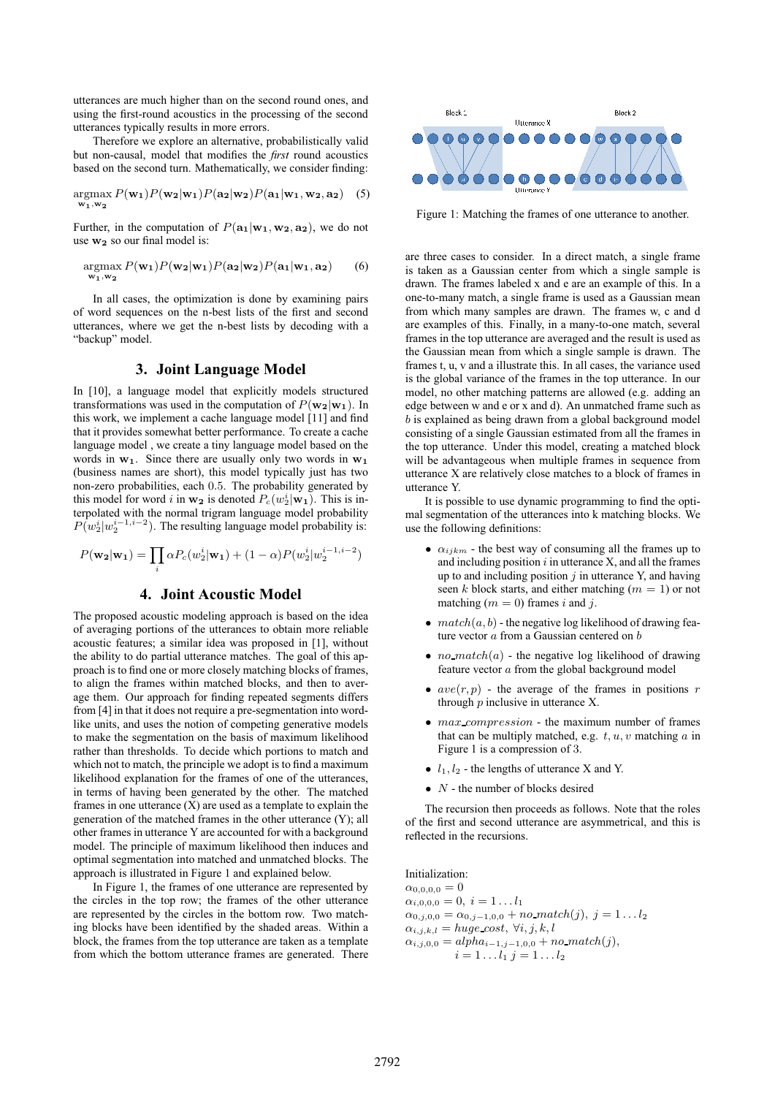utterances are much higher than on the second round ones, and using the first-round acoustics in the processing of the second utterances typically results in more errors.

Therefore we explore an alternative, probabilistically valid but non-causal, model that modifies the *first* round acoustics based on the second turn. Mathematically, we consider finding:

$$
\underset{\mathbf{w}_1,\mathbf{w}_2}{\text{argmax}} P(\mathbf{w}_1) P(\mathbf{w}_2 | \mathbf{w}_1) P(\mathbf{a}_2 | \mathbf{w}_2) P(\mathbf{a}_1 | \mathbf{w}_1, \mathbf{w}_2, \mathbf{a}_2) \quad (5)
$$

Further, in the computation of  $P(\mathbf{a_1}|\mathbf{w_1}, \mathbf{w_2}, \mathbf{a_2})$ , we do not use  $w_2$  so our final model is:

$$
\underset{\mathbf{w}_1,\mathbf{w}_2}{\text{argmax}} P(\mathbf{w}_1) P(\mathbf{w}_2 | \mathbf{w}_1) P(\mathbf{a}_2 | \mathbf{w}_2) P(\mathbf{a}_1 | \mathbf{w}_1, \mathbf{a}_2) \tag{6}
$$

In all cases, the optimization is done by examining pairs of word sequences on the n-best lists of the first and second utterances, where we get the n-best lists by decoding with a "backup" model.

### **3. Joint Language Model**

In [10], a language model that explicitly models structured transformations was used in the computation of  $P(\mathbf{w_2}|\mathbf{w_1})$ . In this work, we implement a cache language model [11] and find that it provides somewhat better performance. To create a cache language model , we create a tiny language model based on the words in  $w_1$ . Since there are usually only two words in  $w_1$ (business names are short), this model typically just has two non-zero probabilities, each 0.5. The probability generated by this model for word i in  $w_2$  is denoted  $P_c(w_2^i|w_1)$ . This is interpolated with the normal trigram language model probability  $P(w_2^i|w_2^{i-1,i-2})$ . The resulting language model probability is:

$$
P(\mathbf{w_2}|\mathbf{w_1}) = \prod_i \alpha P_c(w_2^i|\mathbf{w_1}) + (1-\alpha)P(w_2^i|w_2^{i-1,i-2})
$$

# **4. Joint Acoustic Model**

The proposed acoustic modeling approach is based on the idea of averaging portions of the utterances to obtain more reliable acoustic features; a similar idea was proposed in [1], without the ability to do partial utterance matches. The goal of this approach is to find one or more closely matching blocks of frames, to align the frames within matched blocks, and then to average them. Our approach for finding repeated segments differs from [4] in that it does not require a pre-segmentation into wordlike units, and uses the notion of competing generative models to make the segmentation on the basis of maximum likelihood rather than thresholds. To decide which portions to match and which not to match, the principle we adopt is to find a maximum likelihood explanation for the frames of one of the utterances, in terms of having been generated by the other. The matched frames in one utterance  $(X)$  are used as a template to explain the generation of the matched frames in the other utterance (Y); all other frames in utterance Y are accounted for with a background model. The principle of maximum likelihood then induces and optimal segmentation into matched and unmatched blocks. The approach is illustrated in Figure 1 and explained below.

In Figure 1, the frames of one utterance are represented by the circles in the top row; the frames of the other utterance are represented by the circles in the bottom row. Two matching blocks have been identified by the shaded areas. Within a block, the frames from the top utterance are taken as a template from which the bottom utterance frames are generated. There



Figure 1: Matching the frames of one utterance to another.

are three cases to consider. In a direct match, a single frame is taken as a Gaussian center from which a single sample is drawn. The frames labeled x and e are an example of this. In a one-to-many match, a single frame is used as a Gaussian mean from which many samples are drawn. The frames w, c and d are examples of this. Finally, in a many-to-one match, several frames in the top utterance are averaged and the result is used as the Gaussian mean from which a single sample is drawn. The frames t, u, v and a illustrate this. In all cases, the variance used is the global variance of the frames in the top utterance. In our model, no other matching patterns are allowed (e.g. adding an edge between w and e or x and d). An unmatched frame such as b is explained as being drawn from a global background model consisting of a single Gaussian estimated from all the frames in the top utterance. Under this model, creating a matched block will be advantageous when multiple frames in sequence from utterance X are relatively close matches to a block of frames in utterance Y.

It is possible to use dynamic programming to find the optimal segmentation of the utterances into k matching blocks. We use the following definitions:

- $\alpha_{ijkm}$  the best way of consuming all the frames up to and including position  $i$  in utterance  $X$ , and all the frames up to and including position  $j$  in utterance Y, and having seen k block starts, and either matching ( $m = 1$ ) or not matching  $(m = 0)$  frames i and j.
- $match(a, b)$  the negative log likelihood of drawing feature vector  $a$  from a Gaussian centered on  $b$
- *no match* $(a)$  the negative log likelihood of drawing feature vector a from the global background model
- $ave(r, p)$  the average of the frames in positions r through p inclusive in utterance X.
- max compression the maximum number of frames that can be multiply matched, e.g.  $t, u, v$  matching  $a$  in Figure 1 is a compression of 3.
- $l_1, l_2$  the lengths of utterance X and Y.
- $\bullet$   $N$  the number of blocks desired

The recursion then proceeds as follows. Note that the roles of the first and second utterance are asymmetrical, and this is reflected in the recursions.

Initialization:

 $\alpha_{0.0,0,0} = 0$  $\alpha_{i,0,0,0} = 0, i = 1...l_1$  $\alpha_{0,j,0,0} = \alpha_{0,j-1,0,0} + \text{no\_match}(j), j = 1 \dots l_2$  $\alpha_{i,j,k,l} = huge\_cost, \forall i, j, k, l$  $\alpha_{i,j,0,0} = alpha_{i-1,j-1,0,0} + no\_match(j),$  $i = 1 \dots l_1 \; j = 1 \dots l_2$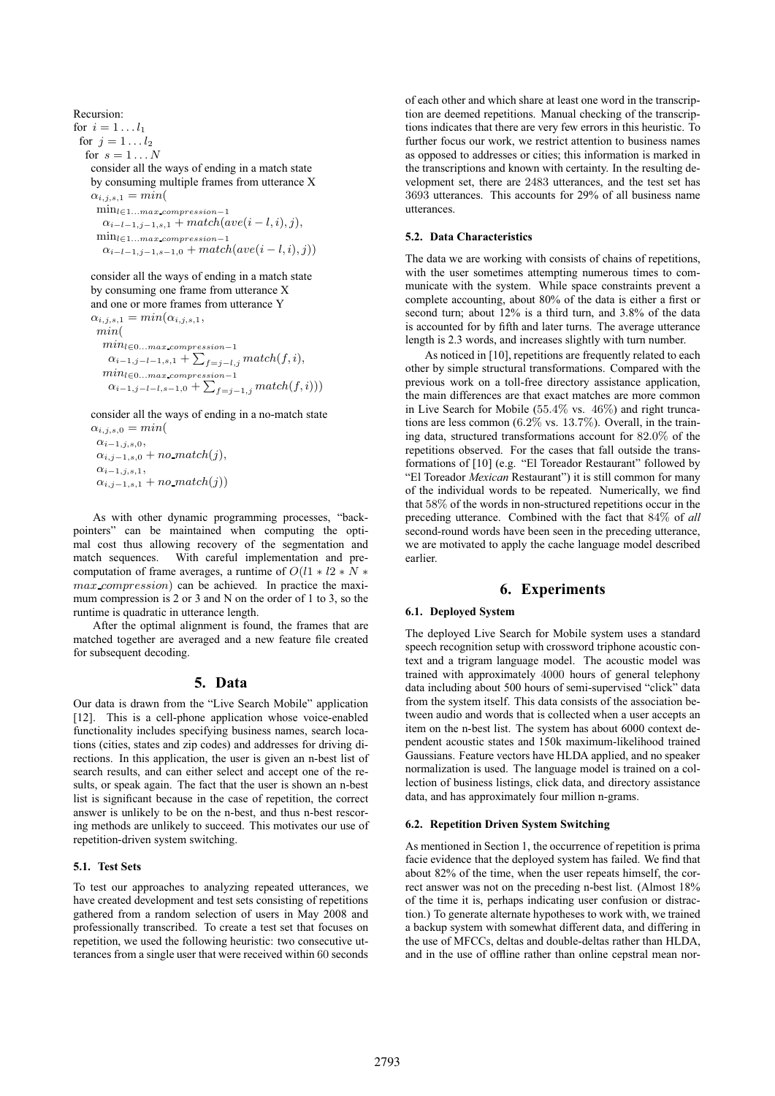Recursion: for  $i = 1 \ldots l_1$ for  $j = 1 \ldots l_2$ for  $s = 1 \dots N$ consider all the ways of ending in a match state by consuming multiple frames from utterance X  $\alpha_{i,j,s,1} = min($ min<sup>l</sup>∈1...max compression−<sup>1</sup>  $\alpha_{i-l-1,j-1,s,1} + match(ave(i-l,i),j),$ min<sup>l</sup>∈1...max compression−<sup>1</sup>  $\alpha_{i-l-1,j-1,s-1,0} + match(ave(i-l,i), j))$ 

consider all the ways of ending in a match state by consuming one frame from utterance X and one or more frames from utterance Y  $\alpha_{i,j,s,1} = min(\alpha_{i,j,s,1},$ min(  $min_{l \in 0...max\_compression-1}$  $\alpha_{i-1,j-l-1,s,1} + \sum_{f=j-l,j} match(f,i),$  $min_{l \in 0...max\_compression-1}$  $\alpha_{i-1,j-l-l,s-1,0} + \sum_{f=j-1,j} match(f,i)))$ 

consider all the ways of ending in a no-match state

 $\alpha_{i,j,s,0} = min($  $\alpha_{i-1,j,s,0}$  $\alpha_{i,j-1,s,0}$  + no\_match(j),  $\alpha_{i-1,j,s,1}$ ,  $\alpha_{i,j-1,s,1} + no\_match(j)$ 

As with other dynamic programming processes, "backpointers" can be maintained when computing the optimal cost thus allowing recovery of the segmentation and match sequences. With careful implementation and precomputation of frame averages, a runtime of  $O(l1 * l2 * N *$ max compression) can be achieved. In practice the maximum compression is 2 or 3 and N on the order of 1 to 3, so the runtime is quadratic in utterance length.

After the optimal alignment is found, the frames that are matched together are averaged and a new feature file created for subsequent decoding.

## **5. Data**

Our data is drawn from the "Live Search Mobile" application [12]. This is a cell-phone application whose voice-enabled functionality includes specifying business names, search locations (cities, states and zip codes) and addresses for driving directions. In this application, the user is given an n-best list of search results, and can either select and accept one of the results, or speak again. The fact that the user is shown an n-best list is significant because in the case of repetition, the correct answer is unlikely to be on the n-best, and thus n-best rescoring methods are unlikely to succeed. This motivates our use of repetition-driven system switching.

### **5.1. Test Sets**

To test our approaches to analyzing repeated utterances, we have created development and test sets consisting of repetitions gathered from a random selection of users in May 2008 and professionally transcribed. To create a test set that focuses on repetition, we used the following heuristic: two consecutive utterances from a single user that were received within 60 seconds of each other and which share at least one word in the transcription are deemed repetitions. Manual checking of the transcriptions indicates that there are very few errors in this heuristic. To further focus our work, we restrict attention to business names as opposed to addresses or cities; this information is marked in the transcriptions and known with certainty. In the resulting development set, there are 2483 utterances, and the test set has 3693 utterances. This accounts for 29% of all business name utterances.

### **5.2. Data Characteristics**

The data we are working with consists of chains of repetitions, with the user sometimes attempting numerous times to communicate with the system. While space constraints prevent a complete accounting, about 80% of the data is either a first or second turn; about 12% is a third turn, and 3.8% of the data is accounted for by fifth and later turns. The average utterance length is 2.3 words, and increases slightly with turn number.

As noticed in [10], repetitions are frequently related to each other by simple structural transformations. Compared with the previous work on a toll-free directory assistance application, the main differences are that exact matches are more common in Live Search for Mobile (55.4% vs. 46%) and right truncations are less common (6.2% vs. 13.7%). Overall, in the training data, structured transformations account for 82.0% of the repetitions observed. For the cases that fall outside the transformations of [10] (e.g. "El Toreador Restaurant" followed by "El Toreador *Mexican* Restaurant") it is still common for many of the individual words to be repeated. Numerically, we find that 58% of the words in non-structured repetitions occur in the preceding utterance. Combined with the fact that 84% of *all* second-round words have been seen in the preceding utterance, we are motivated to apply the cache language model described earlier.

# **6. Experiments**

#### **6.1. Deployed System**

The deployed Live Search for Mobile system uses a standard speech recognition setup with crossword triphone acoustic context and a trigram language model. The acoustic model was trained with approximately 4000 hours of general telephony data including about 500 hours of semi-supervised "click" data from the system itself. This data consists of the association between audio and words that is collected when a user accepts an item on the n-best list. The system has about 6000 context dependent acoustic states and 150k maximum-likelihood trained Gaussians. Feature vectors have HLDA applied, and no speaker normalization is used. The language model is trained on a collection of business listings, click data, and directory assistance data, and has approximately four million n-grams.

#### **6.2. Repetition Driven System Switching**

As mentioned in Section 1, the occurrence of repetition is prima facie evidence that the deployed system has failed. We find that about 82% of the time, when the user repeats himself, the correct answer was not on the preceding n-best list. (Almost 18% of the time it is, perhaps indicating user confusion or distraction.) To generate alternate hypotheses to work with, we trained a backup system with somewhat different data, and differing in the use of MFCCs, deltas and double-deltas rather than HLDA, and in the use of offline rather than online cepstral mean nor-